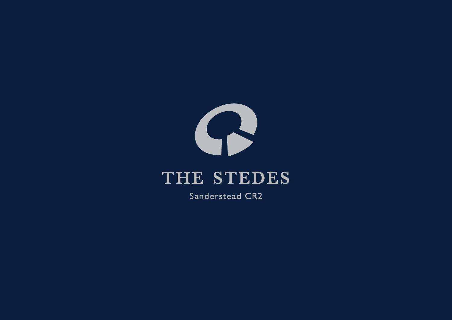

## THE STEDES

Sanderstead CR2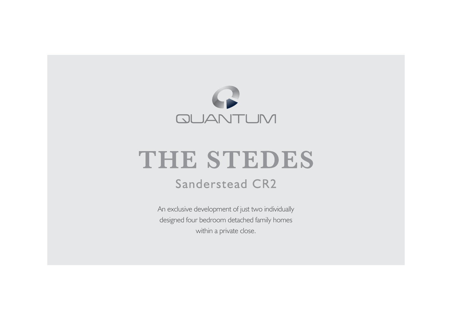

# THE STEDES

#### Sanderstead CR2

An exclusive development of just two individually designed four bedroom detached family homes within a private close.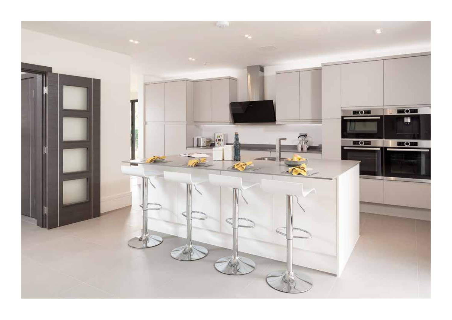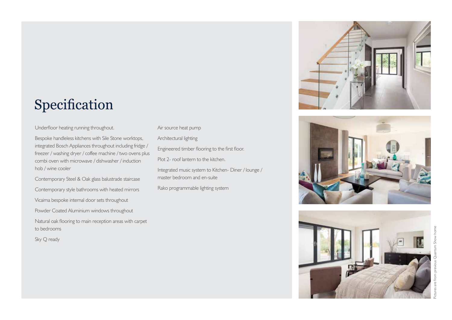### Specification

Underfloor heating running throughout.

Bespoke handleless kitchens with Sile Stone worktops, integrated Bosch Appliances throughout including fridge / freezer / washing dryer / coffee machine / two ovens plus combi oven with microwave / dishwasher / induction hob / wine cooler

Contemporary Steel & Oak glass balustrade staircase

Contemporary style bathrooms with heated mirrors

Vicaima bespoke internal door sets throughout

Powder Coated Aluminium windows throughout

Natural oak flooring to main reception areas with carpet to bedrooms

Sky Q ready

Air source heat pump

Architectural lighting

Engineered timber flooring to the first floor.

Plot 2- roof lantern to the kitchen.

Integrated music system to Kitchen- Diner / lounge / master bedroom and en-suite

Rako programmable lighting system





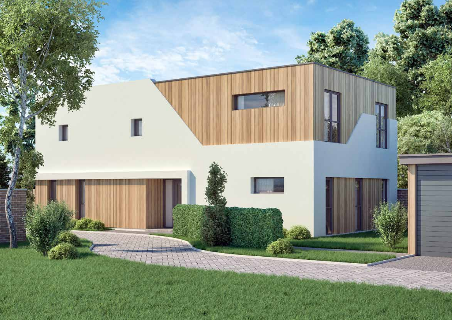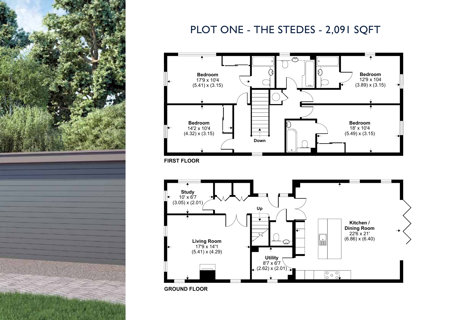

#### PLOT ONE - THE STEDES - 2,091 SQFT



**FIRST FLOOR**



**GROUND FLOOR**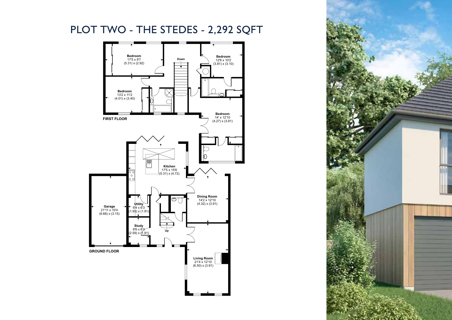#### PLOT TWO - THE STEDES - 2,292 SQFT



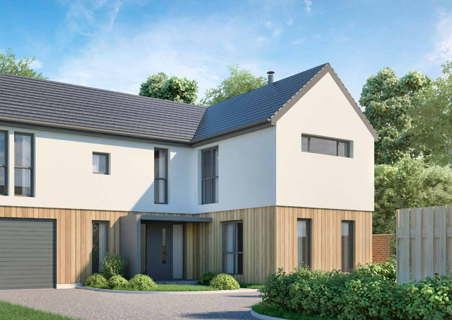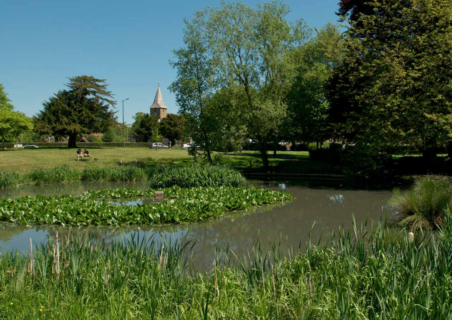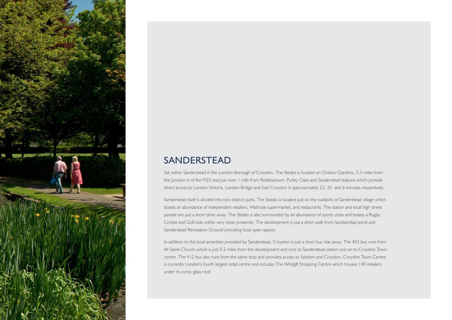

#### SANDERSTEAD

Set within Sanderstead in the London Borough of Croydon, The Stedes is located on Onslow Gardens, 5.3 miles from the Junction 6 of the M25 and just over 1 mile from Riddlesdown, Purley Oaks and Sanderstead stations which provide direct access to London Victoria, London Bridge and East Croydon in approximately 23, 30 and 6 minutes respectively.

Sanderstead itself is divided into two distinct parts. The Stedes is located just on the outskirts of Sanderstead village which boasts an abundance of independent retailers, Waitrose supermarket, and restaurants. The station and local high street parade are just a short drive away. The Stedes is also surrounded by an abundance of sports clubs and boasts a Rugby, Cricket and Golf club within very close proximity. The development is just a short walk from Sandserstad pond and Sanderstead Recreation Ground providing local open spaces.

In addition to the local amenities provided by Sanderstead, Croydon is just a short bus ride away. The 403 bus runs from All Saints Church which is just 0.2 miles from the development and runs to Sanderstead station and on to Croydon Town centre. The 412 bus also runs from the same stop and provides access to Selsdon and Croydon. Croydon Town Centre is currently London's fourth largest retail centre and includes The Whitgift Shopping Centre which houses 140 retailers under its iconic glass roof.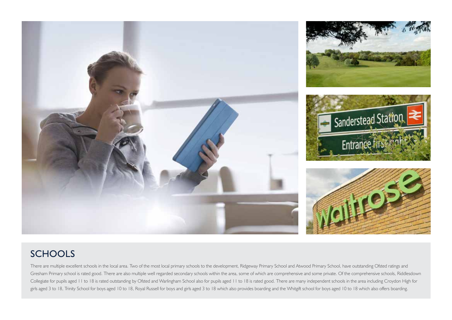

#### **SCHOOLS**

There are multiple excellent schools in the local area. Two of the most local primary schools to the development, Ridgeway Primary School and Atwood Primary School, have outstanding Ofsted ratings and Gresham Primary school is rated good. There are also multiple well regarded secondary schools within the area, some of which are comprehensive and some private. Of the comprehensive schools, Riddlesdown Collegiate for pupils aged 11 to 18 is rated outstanding by Ofsted and Warlingham School also for pupils aged 11 to 18 is rated good. There are many independent schools in the area including Croydon High for girls aged 3 to 18, Trinity School for boys aged 10 to 18, Royal Russell for boys and girls aged 3 to 18 which also provides boarding and the Whitgift school for boys aged 10 to 18 which also offers boarding.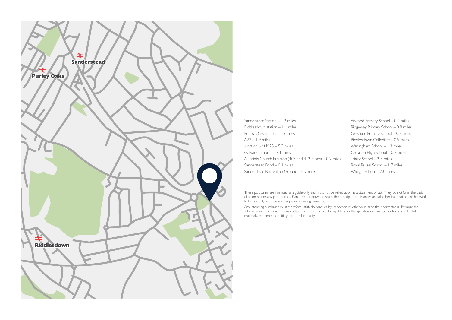

Sanderstead Station – 1.2 miles Riddlesdown station – 1.1 miles Purley Oaks station – 1.3 miles A22 – 1.9 miles Junction 6 of M25 – 5.3 miles Gatwick airport – 17.1 miles All Saints Church bus stop (403 and 412 buses) – 0.2 miles Sanderstead Pond – 0.1 miles Sanderstead Recreation Ground – 0.2 miles

Atwood Primary School – 0.4 miles Ridgeway Primary School – 0.8 miles Gresham Primary School – 0.2 miles Riddlesdown Collediate – 0.9 miles Warlingham School – 1.3 miles Croydon High School – 0.7 miles Trinity School – 2.8 miles Royal Russel School – 1.7 miles Whitgift School – 2.0 miles

These particulars are intended as a guide only and must not be relied upon as a statement of fact. They do not form the basis of a contract or any part thereof. Plans are not drawn to scale, the descriptions, distances and all other information are believed to be correct, but their accuracy is in no way guaranteed.

Any intending purchaser must therefore satisfy themselves by inspection or otherwise as to their correctness. Because the scheme is in the course of construction, we must reserve the right to alter the specifications without notice and substitute materials, equipment or fittings of a similar quality.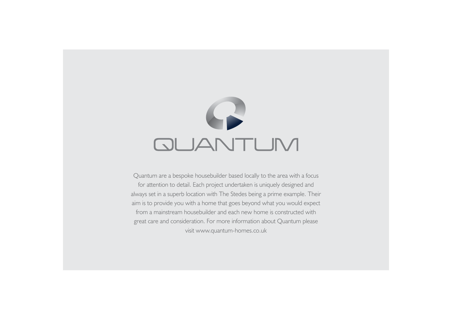# **OUANTUM**

Quantum are a bespoke housebuilder based locally to the area with a focus for attention to detail. Each project undertaken is uniquely designed and always set in a superb location with The Stedes being a prime example. Their aim is to provide you with a home that goes beyond what you would expect from a mainstream housebuilder and each new home is constructed with great care and consideration. For more information about Quantum please visit www.quantum-homes.co.uk